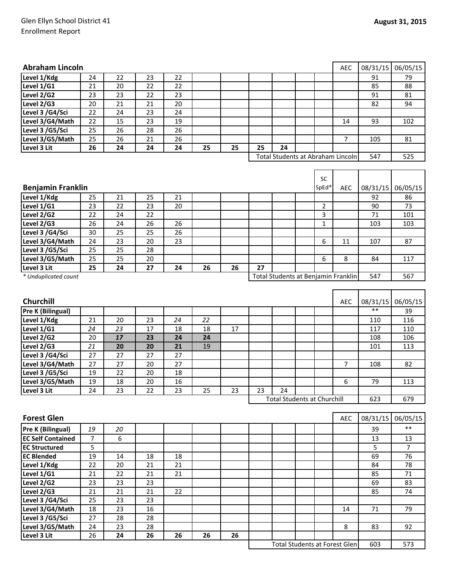## Glen Ellyn School District 41 Enrollment Report

| <b>Abraham Lincoln</b>             |                |          |                 |    |    |    |    |                                     |                    | <b>AEC</b>     | 08/31/15 | 06/05/15       |
|------------------------------------|----------------|----------|-----------------|----|----|----|----|-------------------------------------|--------------------|----------------|----------|----------------|
| Level 1/Kdg                        | 24             | 22       | 23              | 22 |    |    |    |                                     |                    |                | 91       | 79             |
| Level 1/G1                         | 21             | 20       | 22              | 22 |    |    |    |                                     |                    |                | 85       | 88             |
| Level 2/G2                         | 23             | 23       | 22              | 23 |    |    |    |                                     |                    |                | 91       | 81             |
| Level 2/G3                         | 20             | 21       | 21              | 20 |    |    |    |                                     |                    |                | 82       | 94             |
| Level 3 /G4/Sci                    | 22             | 24       | 23              | 24 |    |    |    |                                     |                    |                |          |                |
| Level 3/G4/Math                    | 22             | 15       | 23              | 19 |    |    |    |                                     |                    | 14             | 93       | 102            |
| Level 3 /G5/Sci                    | 25             | 26       | 28              | 26 |    |    |    |                                     |                    |                |          |                |
| Level 3/G5/Math                    | 25             | 26       | 21              | 26 |    |    |    |                                     |                    | $\overline{7}$ | 105      | 81             |
| Level 3 Lit                        | 26             | 24       | 24              | 24 | 25 | 25 | 25 | 24                                  |                    |                |          |                |
|                                    |                |          |                 |    |    |    |    | Total Students at Abraham Lincoln   |                    |                | 547      | 525            |
|                                    |                |          |                 |    |    |    |    |                                     |                    |                |          |                |
| <b>Benjamin Franklin</b>           |                |          |                 |    |    |    |    |                                     | <b>SC</b><br>SpEd* | <b>AEC</b>     | 08/31/15 | 06/05/15       |
|                                    |                |          | 25              | 21 |    |    |    |                                     |                    |                | 92       |                |
| Level 1/Kdg<br>Level 1/G1          | 25<br>23       | 21<br>22 | 23              | 20 |    |    |    |                                     | 2                  |                | 90       | 86<br>73       |
| Level 2/G2                         | 22             |          | 22              |    |    |    |    |                                     | 3                  |                | 71       | 101            |
|                                    |                | 24       | 26              | 26 |    |    |    |                                     |                    |                |          |                |
| Level 2/G3                         | 26             | 24       | 25              | 26 |    |    |    |                                     | 1                  |                | 103      | 103            |
| Level 3 /G4/Sci                    | 30<br>24       | 25       | 20              | 23 |    |    |    |                                     |                    |                | 107      |                |
| Level 3/G4/Math<br>Level 3 /G5/Sci | 25             | 23       | 28              |    |    |    |    |                                     | 6                  | 11             |          | 87             |
| Level 3/G5/Math                    | 25             | 25<br>25 | 20              |    |    |    |    |                                     | 6                  | 8              | 84       | 117            |
| Level 3 Lit                        | 25             | 24       | 27              | 24 | 26 | 26 | 27 |                                     |                    |                |          |                |
|                                    |                |          |                 |    |    |    |    | Total Students at Benjamin Franklin |                    |                | 547      | 567            |
| * Unduplicated count               |                |          |                 |    |    |    |    |                                     |                    |                |          |                |
|                                    |                |          |                 |    |    |    |    |                                     |                    |                |          |                |
| Churchill                          |                |          |                 |    |    |    |    |                                     |                    | AEC            | 08/31/15 | 06/05/15       |
| Pre K (Bilingual)                  |                |          |                 |    |    |    |    |                                     |                    |                | $***$    | 39             |
| Level 1/Kdg                        | 21             | 20       | 23              | 24 | 22 |    |    |                                     |                    |                | 110      | 116            |
| Level 1/G1                         | 24             | 23       | 17              | 18 | 18 | 17 |    |                                     |                    |                | 117      | 110            |
| Level 2/G2                         | 20             | 17       | 23              | 24 | 24 |    |    |                                     |                    |                | 108      | 106            |
| Level 2/G3                         | 21             | 20       | 20              | 21 | 19 |    |    |                                     |                    |                | 101      | 113            |
| Level 3 /G4/Sci                    | 27             | 27       | 27              | 27 |    |    |    |                                     |                    |                |          |                |
| Level 3/G4/Math                    | 27             | 27       | 20              | 27 |    |    |    |                                     |                    | $\overline{7}$ | 108      | 82             |
| Level 3 /G5/Sci                    | 19             | 22       | 20              | 18 |    |    |    |                                     |                    |                |          |                |
| Level 3/G5/Math                    | 19             | 18       | 20              | 16 |    |    |    |                                     |                    | 6              | 79       | 113            |
| Level 3 Lit                        | 24             | 23       | 22              | 23 | 25 | 23 | 23 | 24                                  |                    |                |          |                |
|                                    |                |          |                 |    |    |    |    | <b>Total Students at Churchill</b>  |                    |                | 623      | 679            |
|                                    |                |          |                 |    |    |    |    |                                     |                    |                |          |                |
| <b>Forest Glen</b>                 |                |          |                 |    |    |    |    |                                     |                    | AEC            | 08/31/15 | 06/05/15       |
| Pre K (Bilingual)                  | 19             | 20       |                 |    |    |    |    |                                     |                    |                | 39       | $***$          |
| <b>EC Self Contained</b>           | $\overline{7}$ | 6        |                 |    |    |    |    |                                     |                    |                | 13       | 13             |
| <b>EC Structured</b>               | 5              |          |                 |    |    |    |    |                                     |                    |                | 5        | $\overline{7}$ |
| <b>EC Blended</b>                  | 19             | 14       | 18              | 18 |    |    |    |                                     |                    |                | 69       | 76             |
| Level 1/Kdg                        | 22             | 20       | 21              | 21 |    |    |    |                                     |                    |                | 84       | 78             |
| Level 1/G1                         | 21             | 22       | 21              | 21 |    |    |    |                                     |                    |                | 85       | 71             |
| Level 2/G2                         | 23             | 23       | $\overline{23}$ |    |    |    |    |                                     |                    |                | 69       | 83             |
| Level 2/G3                         | 21             | 21       | 21              | 22 |    |    |    |                                     |                    |                | 85       | 74             |
| Level 3 /G4/Sci                    | 25             | 23       | $\overline{23}$ |    |    |    |    |                                     |                    |                |          |                |
| Level 3/G4/Math                    | 18             | 23       | 16              |    |    |    |    |                                     |                    | 14             | 71       | 79             |
| Level 3 /G5/Sci                    | 27             | 28       | 28              |    |    |    |    |                                     |                    |                |          |                |
|                                    |                |          |                 |    |    |    |    |                                     |                    |                |          |                |
|                                    |                |          |                 |    |    |    |    |                                     |                    |                |          |                |
| Level 3/G5/Math<br>Level 3 Lit     | 24<br>26       | 23<br>24 | 28<br>26        | 26 | 26 | 26 |    |                                     |                    | 8              | 83       | 92             |